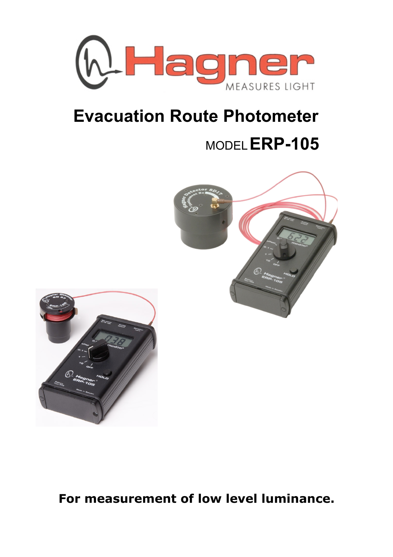

# **Evacuation Route Photometer**

# MODEL**ERP-105**





**For measurement of low level luminance.**